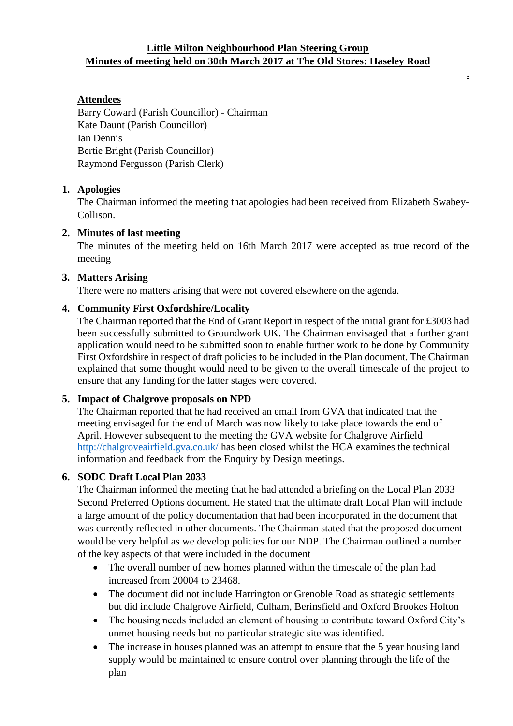## **Little Milton Neighbourhood Plan Steering Group Minutes of meeting held on 30th March 2017 at The Old Stores: Haseley Road**

**.**

# **Attendees**

Barry Coward (Parish Councillor) - Chairman Kate Daunt (Parish Councillor) Ian Dennis Bertie Bright (Parish Councillor) Raymond Fergusson (Parish Clerk)

### **1. Apologies**

The Chairman informed the meeting that apologies had been received from Elizabeth Swabey-Collison.

#### **2. Minutes of last meeting**

The minutes of the meeting held on 16th March 2017 were accepted as true record of the meeting

#### **3. Matters Arising**

There were no matters arising that were not covered elsewhere on the agenda.

#### **4. Community First Oxfordshire/Locality**

The Chairman reported that the End of Grant Report in respect of the initial grant for £3003 had been successfully submitted to Groundwork UK. The Chairman envisaged that a further grant application would need to be submitted soon to enable further work to be done by Community First Oxfordshire in respect of draft policies to be included in the Plan document. The Chairman explained that some thought would need to be given to the overall timescale of the project to ensure that any funding for the latter stages were covered.

### **5. Impact of Chalgrove proposals on NPD**

The Chairman reported that he had received an email from GVA that indicated that the meeting envisaged for the end of March was now likely to take place towards the end of April. However subsequent to the meeting the GVA website for Chalgrove Airfield <http://chalgroveairfield.gva.co.uk/> has been closed whilst the HCA examines the technical information and feedback from the Enquiry by Design meetings.

#### **6. SODC Draft Local Plan 2033**

The Chairman informed the meeting that he had attended a briefing on the Local Plan 2033 Second Preferred Options document. He stated that the ultimate draft Local Plan will include a large amount of the policy documentation that had been incorporated in the document that was currently reflected in other documents. The Chairman stated that the proposed document would be very helpful as we develop policies for our NDP. The Chairman outlined a number of the key aspects of that were included in the document

- The overall number of new homes planned within the timescale of the plan had increased from 20004 to 23468.
- The document did not include Harrington or Grenoble Road as strategic settlements but did include Chalgrove Airfield, Culham, Berinsfield and Oxford Brookes Holton
- The housing needs included an element of housing to contribute toward Oxford City's unmet housing needs but no particular strategic site was identified.
- The increase in houses planned was an attempt to ensure that the 5 year housing land supply would be maintained to ensure control over planning through the life of the plan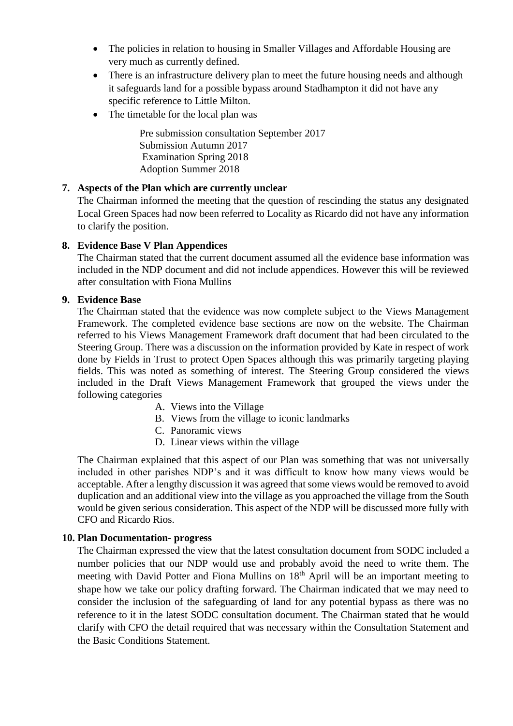- The policies in relation to housing in Smaller Villages and Affordable Housing are very much as currently defined.
- There is an infrastructure delivery plan to meet the future housing needs and although it safeguards land for a possible bypass around Stadhampton it did not have any specific reference to Little Milton.
- The timetable for the local plan was

Pre submission consultation September 2017 Submission Autumn 2017 Examination Spring 2018 Adoption Summer 2018

# **7. Aspects of the Plan which are currently unclear**

The Chairman informed the meeting that the question of rescinding the status any designated Local Green Spaces had now been referred to Locality as Ricardo did not have any information to clarify the position.

## **8. Evidence Base V Plan Appendices**

The Chairman stated that the current document assumed all the evidence base information was included in the NDP document and did not include appendices. However this will be reviewed after consultation with Fiona Mullins

### **9. Evidence Base**

The Chairman stated that the evidence was now complete subject to the Views Management Framework. The completed evidence base sections are now on the website. The Chairman referred to his Views Management Framework draft document that had been circulated to the Steering Group. There was a discussion on the information provided by Kate in respect of work done by Fields in Trust to protect Open Spaces although this was primarily targeting playing fields. This was noted as something of interest. The Steering Group considered the views included in the Draft Views Management Framework that grouped the views under the following categories

- A. Views into the Village
- B. Views from the village to iconic landmarks
- C. Panoramic views
- D. Linear views within the village

The Chairman explained that this aspect of our Plan was something that was not universally included in other parishes NDP's and it was difficult to know how many views would be acceptable. After a lengthy discussion it was agreed that some views would be removed to avoid duplication and an additional view into the village as you approached the village from the South would be given serious consideration. This aspect of the NDP will be discussed more fully with CFO and Ricardo Rios.

### **10. Plan Documentation- progress**

The Chairman expressed the view that the latest consultation document from SODC included a number policies that our NDP would use and probably avoid the need to write them. The meeting with David Potter and Fiona Mullins on 18<sup>th</sup> April will be an important meeting to shape how we take our policy drafting forward. The Chairman indicated that we may need to consider the inclusion of the safeguarding of land for any potential bypass as there was no reference to it in the latest SODC consultation document. The Chairman stated that he would clarify with CFO the detail required that was necessary within the Consultation Statement and the Basic Conditions Statement.